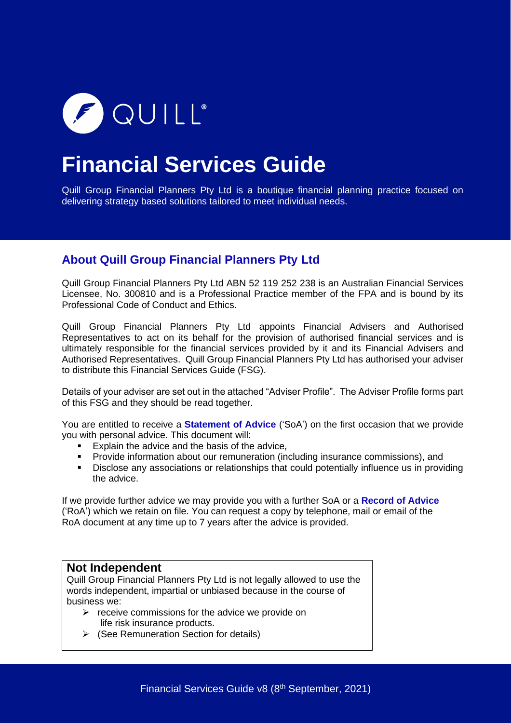

# **Financial Services Guide**

Quill Group Financial Planners Pty Ltd is a boutique financial planning practice focused on delivering strategy based solutions tailored to meet individual needs.

### **About Quill Group Financial Planners Pty Ltd**

Quill Group Financial Planners Pty Ltd ABN 52 119 252 238 is an Australian Financial Services Licensee, No. 300810 and is a Professional Practice member of the FPA and is bound by its Professional Code of Conduct and Ethics.

Quill Group Financial Planners Pty Ltd appoints Financial Advisers and Authorised Representatives to act on its behalf for the provision of authorised financial services and is ultimately responsible for the financial services provided by it and its Financial Advisers and Authorised Representatives. Quill Group Financial Planners Pty Ltd has authorised your adviser to distribute this Financial Services Guide (FSG).

Details of your adviser are set out in the attached "Adviser Profile". The Adviser Profile forms part of this FSG and they should be read together.

You are entitled to receive a **Statement of Advice** ('SoA') on the first occasion that we provide you with personal advice. This document will:

- Explain the advice and the basis of the advice,<br>■ Provide information about our remuneration (in
- **Provide information about our remuneration (including insurance commissions), and <br>• Disclose any associations or relationships that could potentially influence us in provi**
- Disclose any associations or relationships that could potentially influence us in providing the advice.

If we provide further advice we may provide you with a further SoA or a **Record of Advice** ('RoA') which we retain on file. You can request a copy by telephone, mail or email of the RoA document at any time up to 7 years after the advice is provided.

### **Not Independent**

Quill Group Financial Planners Pty Ltd is not legally allowed to use the words independent, impartial or unbiased because in the course of business we:

- $\triangleright$  receive commissions for the advice we provide on life risk insurance products.
- ➢ (See Remuneration Section for details)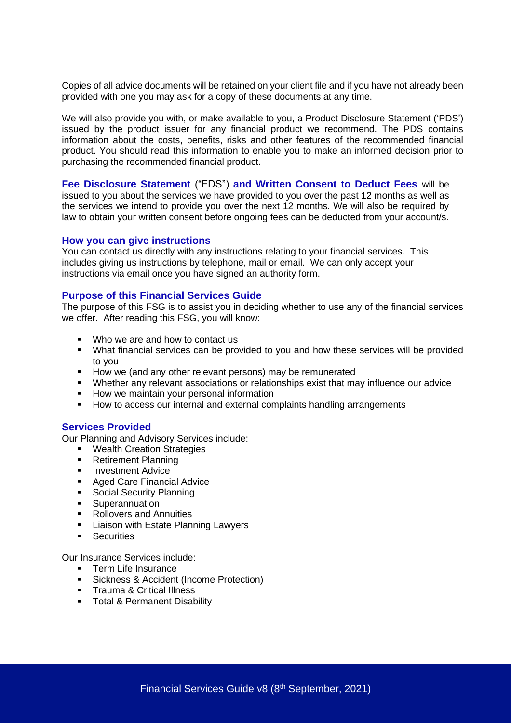Copies of all advice documents will be retained on your client file and if you have not already been provided with one you may ask for a copy of these documents at any time.

We will also provide you with, or make available to you, a Product Disclosure Statement ('PDS') issued by the product issuer for any financial product we recommend. The PDS contains information about the costs, benefits, risks and other features of the recommended financial product. You should read this information to enable you to make an informed decision prior to purchasing the recommended financial product.

**Fee Disclosure Statement** ("FDS") **and Written Consent to Deduct Fees** will be

issued to you about the services we have provided to you over the past 12 months as well as the services we intend to provide you over the next 12 months. We will also be required by law to obtain your written consent before ongoing fees can be deducted from your account/s.

#### **How you can give instructions**

You can contact us directly with any instructions relating to your financial services. This includes giving us instructions by telephone, mail or email. We can only accept your instructions via email once you have signed an authority form.

#### **Purpose of this Financial Services Guide**

The purpose of this FSG is to assist you in deciding whether to use any of the financial services we offer. After reading this FSG, you will know:

- Who we are and how to contact us
- What financial services can be provided to you and how these services will be provided to you
- How we (and any other relevant persons) may be remunerated
- Whether any relevant associations or relationships exist that may influence our advice
- How we maintain your personal information
- How to access our internal and external complaints handling arrangements

#### **Services Provided**

Our Planning and Advisory Services include:

- Wealth Creation Strategies
- Retirement Planning
- **■** Investment Advice
- **Aged Care Financial Advice**<br>• Social Security Planning
- Social Security Planning
- **■** Superannuation
- Rollovers and Annuities
- **EXEC** Liaison with Estate Planning Lawyers
- **■** Securities

Our Insurance Services include:

- Term Life Insurance
- **E** Sickness & Accident (Income Protection)
- **•** Trauma & Critical Illness
- **■** Total & Permanent Disability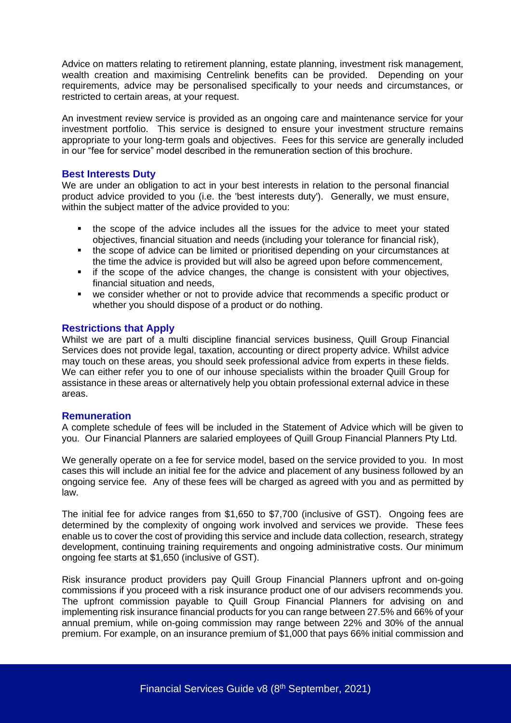Advice on matters relating to retirement planning, estate planning, investment risk management, wealth creation and maximising Centrelink benefits can be provided. Depending on your requirements, advice may be personalised specifically to your needs and circumstances, or restricted to certain areas, at your request.

An investment review service is provided as an ongoing care and maintenance service for your investment portfolio. This service is designed to ensure your investment structure remains appropriate to your long-term goals and objectives. Fees for this service are generally included in our "fee for service" model described in the remuneration section of this brochure.

#### **Best Interests Duty**

We are under an obligation to act in your best interests in relation to the personal financial product advice provided to you (i.e. the 'best interests duty'). Generally, we must ensure, within the subject matter of the advice provided to you:

- the scope of the advice includes all the issues for the advice to meet your stated objectives, financial situation and needs (including your tolerance for financial risk),
- the scope of advice can be limited or prioritised depending on your circumstances at the time the advice is provided but will also be agreed upon before commencement,
- if the scope of the advice changes, the change is consistent with your objectives, financial situation and needs,
- we consider whether or not to provide advice that recommends a specific product or whether you should dispose of a product or do nothing.

#### **Restrictions that Apply**

Whilst we are part of a multi discipline financial services business, Quill Group Financial Services does not provide legal, taxation, accounting or direct property advice. Whilst advice may touch on these areas, you should seek professional advice from experts in these fields. We can either refer you to one of our inhouse specialists within the broader Quill Group for assistance in these areas or alternatively help you obtain professional external advice in these areas.

#### **Remuneration**

A complete schedule of fees will be included in the Statement of Advice which will be given to you. Our Financial Planners are salaried employees of Quill Group Financial Planners Pty Ltd.

We generally operate on a fee for service model, based on the service provided to you. In most cases this will include an initial fee for the advice and placement of any business followed by an ongoing service fee. Any of these fees will be charged as agreed with you and as permitted by law.

The initial fee for advice ranges from \$1,650 to \$7,700 (inclusive of GST). Ongoing fees are determined by the complexity of ongoing work involved and services we provide. These fees enable us to cover the cost of providing this service and include data collection, research, strategy development, continuing training requirements and ongoing administrative costs. Our minimum ongoing fee starts at \$1,650 (inclusive of GST).

Risk insurance product providers pay Quill Group Financial Planners upfront and on-going commissions if you proceed with a risk insurance product one of our advisers recommends you. The upfront commission payable to Quill Group Financial Planners for advising on and implementing risk insurance financial products for you can range between 27.5% and 66% of your annual premium, while on-going commission may range between 22% and 30% of the annual premium. For example, on an insurance premium of \$1,000 that pays 66% initial commission and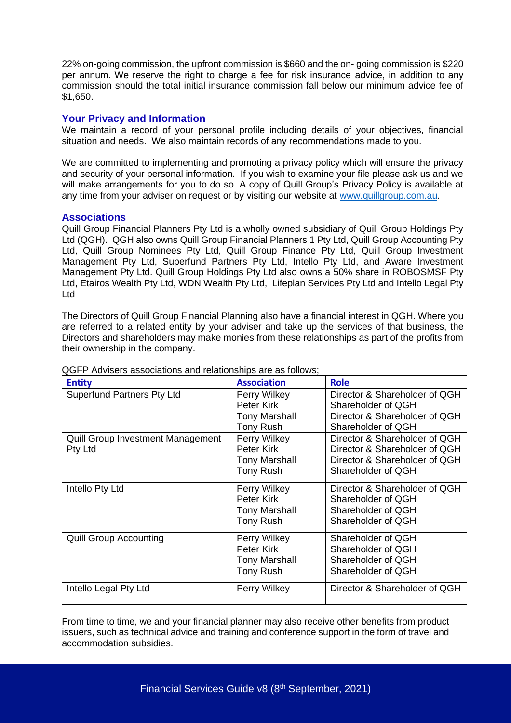22% on-going commission, the upfront commission is \$660 and the on- going commission is \$220 per annum. We reserve the right to charge a fee for risk insurance advice, in addition to any commission should the total initial insurance commission fall below our minimum advice fee of \$1,650.

#### **Your Privacy and Information**

We maintain a record of your personal profile including details of your objectives, financial situation and needs. We also maintain records of any recommendations made to you.

We are committed to implementing and promoting a privacy policy which will ensure the privacy and security of your personal information. If you wish to examine your file please ask us and we will make arrangements for you to do so. A copy of Quill Group's Privacy Policy is available at any time from your adviser on request or by visiting our website at [www.quillgroup.com.au.](http://www.quillgroup.com.au/)

#### **Associations**

Quill Group Financial Planners Pty Ltd is a wholly owned subsidiary of Quill Group Holdings Pty Ltd (QGH). QGH also owns Quill Group Financial Planners 1 Pty Ltd, Quill Group Accounting Pty Ltd, Quill Group Nominees Pty Ltd, Quill Group Finance Pty Ltd, Quill Group Investment Management Pty Ltd, Superfund Partners Pty Ltd, Intello Pty Ltd, and Aware Investment Management Pty Ltd. Quill Group Holdings Pty Ltd also owns a 50% share in ROBOSMSF Pty Ltd, Etairos Wealth Pty Ltd, WDN Wealth Pty Ltd, Lifeplan Services Pty Ltd and Intello Legal Pty Ltd

The Directors of Quill Group Financial Planning also have a financial interest in QGH. Where you are referred to a related entity by your adviser and take up the services of that business, the Directors and shareholders may make monies from these relationships as part of the profits from their ownership in the company.

| <b>Entity</b>                            | <b>Association</b>   | <b>Role</b>                   |
|------------------------------------------|----------------------|-------------------------------|
| <b>Superfund Partners Pty Ltd</b>        | Perry Wilkey         | Director & Shareholder of QGH |
|                                          | Peter Kirk           | Shareholder of QGH            |
|                                          | <b>Tony Marshall</b> | Director & Shareholder of QGH |
|                                          | Tony Rush            | Shareholder of QGH            |
| <b>Quill Group Investment Management</b> | Perry Wilkey         | Director & Shareholder of QGH |
| Pty Ltd                                  | Peter Kirk           | Director & Shareholder of QGH |
|                                          | <b>Tony Marshall</b> | Director & Shareholder of QGH |
|                                          | Tony Rush            | Shareholder of QGH            |
| Intello Pty Ltd                          | Perry Wilkey         | Director & Shareholder of QGH |
|                                          | Peter Kirk           | Shareholder of QGH            |
|                                          | <b>Tony Marshall</b> | Shareholder of QGH            |
|                                          | Tony Rush            | Shareholder of QGH            |
| <b>Quill Group Accounting</b>            | Perry Wilkey         | Shareholder of QGH            |
|                                          | Peter Kirk           | Shareholder of QGH            |
|                                          | <b>Tony Marshall</b> | Shareholder of QGH            |
|                                          | Tony Rush            | Shareholder of QGH            |
| Intello Legal Pty Ltd                    | Perry Wilkey         | Director & Shareholder of QGH |

QGFP Advisers associations and relationships are as follows;

From time to time, we and your financial planner may also receive other benefits from product issuers, such as technical advice and training and conference support in the form of travel and accommodation subsidies.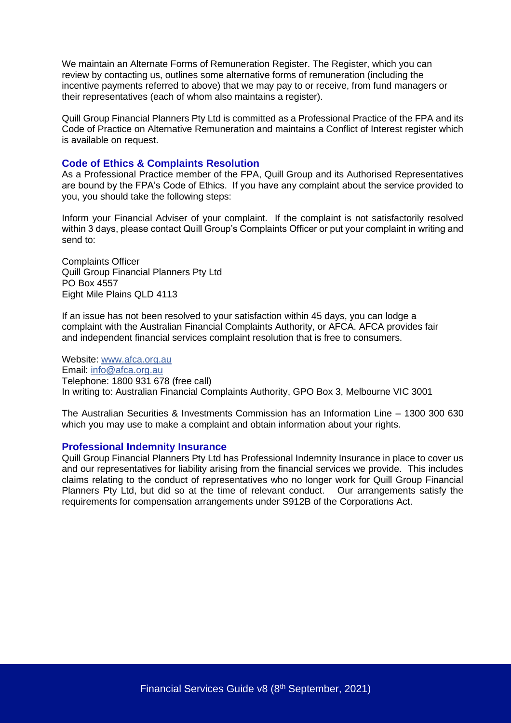We maintain an Alternate Forms of Remuneration Register. The Register, which you can review by contacting us, outlines some alternative forms of remuneration (including the incentive payments referred to above) that we may pay to or receive, from fund managers or their representatives (each of whom also maintains a register).

Quill Group Financial Planners Pty Ltd is committed as a Professional Practice of the FPA and its Code of Practice on Alternative Remuneration and maintains a Conflict of Interest register which is available on request.

#### **Code of Ethics & Complaints Resolution**

As a Professional Practice member of the FPA, Quill Group and its Authorised Representatives are bound by the FPA's Code of Ethics. If you have any complaint about the service provided to you, you should take the following steps:

Inform your Financial Adviser of your complaint. If the complaint is not satisfactorily resolved within 3 days, please contact Quill Group's Complaints Officer or put your complaint in writing and send to:

Complaints Officer Quill Group Financial Planners Pty Ltd PO Box 4557 Eight Mile Plains QLD 4113

If an issue has not been resolved to your satisfaction within 45 days, you can lodge a complaint with the Australian Financial Complaints Authority, or AFCA. AFCA provides fair and independent financial services complaint resolution that is free to consumers.

Website: [www.afca.org.au](https://www.afca.org.au/) Email: [info@afca.org.au](mailto:info@afca.org.au) Telephone: 1800 931 678 (free call) In writing to: Australian Financial Complaints Authority, GPO Box 3, Melbourne VIC 3001

The Australian Securities & Investments Commission has an Information Line – 1300 300 630 which you may use to make a complaint and obtain information about your rights.

#### **Professional Indemnity Insurance**

Quill Group Financial Planners Pty Ltd has Professional Indemnity Insurance in place to cover us and our representatives for liability arising from the financial services we provide. This includes claims relating to the conduct of representatives who no longer work for Quill Group Financial Planners Pty Ltd, but did so at the time of relevant conduct. Our arrangements satisfy the requirements for compensation arrangements under S912B of the Corporations Act.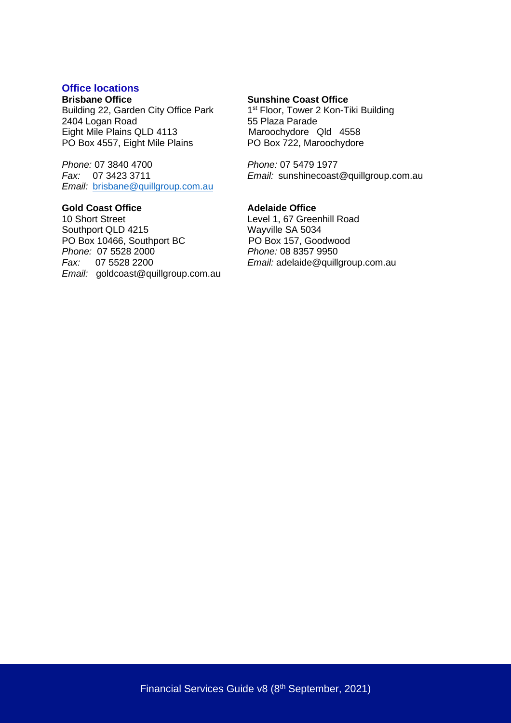## **Office locations**

Building 22, Garden City Office Park 1<sup>st</sup> Floor, Tower 2<br>2404 Logan Road 55 Plaza Parade 2404 Logan Road<br>
Eight Mile Plains QLD 4113<br>
Maroochydore Qld 4558 Eight Mile Plains QLD 4113 Maroochydore Qld 4558<br>PO Box 4557, Eight Mile Plains PO Box 722, Maroochydore PO Box 4557, Eight Mile Plains

*Phone:* 07 3840 4700 *Phone:* 07 5479 1977 *Email:* [brisbane@quillgroup.com.au](mailto:brisbane@quillgroup.com.au)

**Gold Coast Office**<br>
10 Short Street<br> **Adelaide Office**<br>
Level 1, 67 Gree Southport QLD 4215<br>
PO Box 10466, Southport BC<br>
PO Box 157, Goodwood PO Box 10466, Southport BC<br>
Po Box 157, Goodwo<br>
Phone: 07 5528 2000<br>
Phone: 08 8357 9950 *Phone:* 07 5528 2000 *Fax:* 07 5528 2200 *Email:* adelaide@quillgroup.com.au *Email:* [goldcoast@quillgroup.com.au](mailto:goldcoast@quillgroup.com.au)

#### **Sunshine Coast Office**

1<sup>st</sup> Floor, Tower 2 Kon-Tiki Building

*Fax:* 07 3423 3711 *Email:* sunshinecoast@quillgroup.com.au

Level 1, 67 Greenhill Road<br>Wayville SA 5034